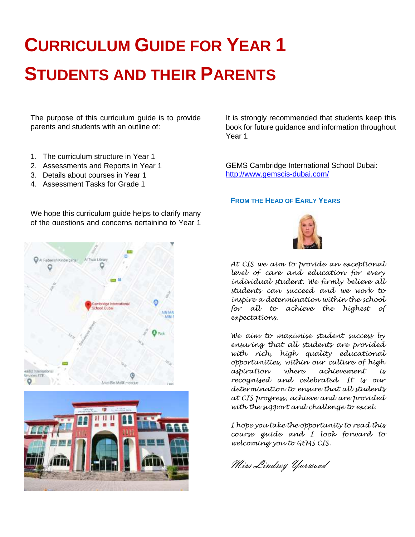## **CURRICULUM GUIDE FOR YEAR 1 STUDENTS AND THEIR PARENTS**

The purpose of this curriculum guide is to provide parents and students with an outline of:

- 1. The curriculum structure in Year 1
- 2. Assessments and Reports in Year 1
- 3. Details about courses in Year 1
- 4. Assessment Tasks for Grade 1

It is strongly recommended that students keep this book for future guidance and information throughout Year 1

GEMS Cambridge International School Dubai: <http://www.gemscis-dubai.com/>

#### **FROM THE HEAD OF EARLY YEARS**









*At CIS we aim to provide an exceptional level of care and education for every individual student. We firmly believe all students can succeed and we work to inspire a determination within the school for all to achieve the highest of expectations.*

*We aim to maximise student success by ensuring that all students are provided with rich, high quality educational opportunities, within our culture of high aspiration where achievement is recognised and celebrated. It is our determination to ensure that all students at CIS progress, achieve and are provided with the support and challenge to excel.*

*I hope you take the opportunity to read this course guide and I look forward to welcoming you to GEMS CIS.*

Miss Lindsey Yarwood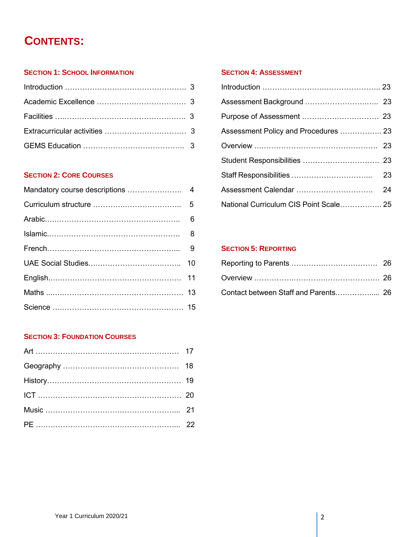### **CONTENTS:**

#### **SECTION 1: SCHOOL INFORMATION**

#### **SECTION 2: CORE COURSES**

### **SECTION 3: FOUNDATION COURSES**

#### **SECTION 4: ASSESSMENT**

| Assessment Policy and Procedures  23   |  |
|----------------------------------------|--|
|                                        |  |
|                                        |  |
|                                        |  |
|                                        |  |
| National Curriculum CIS Point Scale 25 |  |

#### **SECTION 5: REPORTING**

| Contact between Staff and Parents 26 |  |
|--------------------------------------|--|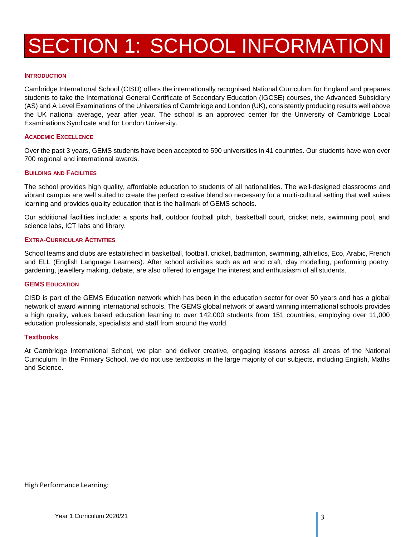## SECTION 1: SCHOOL INFORMATION

#### **INTRODUCTION**

Cambridge International School (CISD) offers the internationally recognised National Curriculum for England and prepares students to take the International General Certificate of Secondary Education (IGCSE) courses, the Advanced Subsidiary (AS) and A Level Examinations of the Universities of Cambridge and London (UK), consistently producing results well above the UK national average, year after year. The school is an approved center for the University of Cambridge Local Examinations Syndicate and for London University.

#### **ACADEMIC EXCELLENCE**

Over the past 3 years, GEMS students have been accepted to 590 universities in 41 countries. Our students have won over 700 regional and international awards.

#### **BUILDING AND FACILITIES**

The school provides high quality, affordable education to students of all nationalities. The well-designed classrooms and vibrant campus are well suited to create the perfect creative blend so necessary for a multi-cultural setting that well suites learning and provides quality education that is the hallmark of GEMS schools.

Our additional facilities include: a sports hall, outdoor football pitch, basketball court, cricket nets, swimming pool, and science labs, ICT labs and library.

#### **EXTRA-CURRICULAR ACTIVITIES**

School teams and clubs are established in basketball, football, cricket, badminton, swimming, athletics, Eco, Arabic, French and ELL (English Language Learners). After school activities such as art and craft, clay modelling, performing poetry, gardening, jewellery making, debate, are also offered to engage the interest and enthusiasm of all students.

#### **GEMS EDUCATION**

CISD is part of the GEMS Education network which has been in the education sector for over 50 years and has a global network of award winning international schools. The GEMS global network of award winning international schools provides a high quality, values based education learning to over 142,000 students from 151 countries, employing over 11,000 education professionals, specialists and staff from around the world.

#### **Textbooks**

At Cambridge International School, we plan and deliver creative, engaging lessons across all areas of the National Curriculum. In the Primary School, we do not use textbooks in the large majority of our subjects, including English, Maths and Science.

High Performance Learning: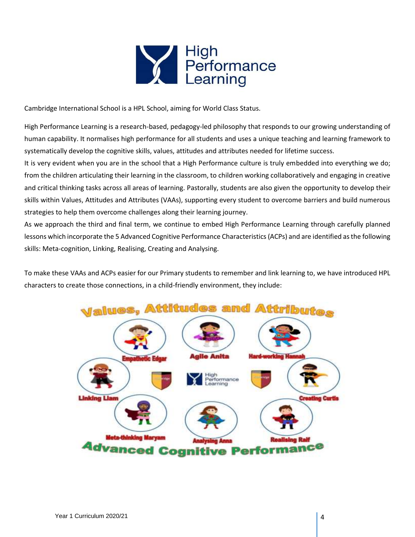

Cambridge International School is a HPL School, aiming for World Class Status.

High Performance Learning is a research-based, pedagogy-led philosophy that responds to our growing understanding of human capability. It normalises high performance for all students and uses a unique teaching and learning framework to systematically develop the cognitive skills, values, attitudes and attributes needed for lifetime success.

It is very evident when you are in the school that a High Performance culture is truly embedded into everything we do; from the children articulating their learning in the classroom, to children working collaboratively and engaging in creative and critical thinking tasks across all areas of learning. Pastorally, students are also given the opportunity to develop their skills within Values, Attitudes and Attributes (VAAs), supporting every student to overcome barriers and build numerous strategies to help them overcome challenges along their learning journey.

As we approach the third and final term, we continue to embed High Performance Learning through carefully planned lessons which incorporate the 5 Advanced Cognitive Performance Characteristics (ACPs) and are identified as the following skills: Meta-cognition, Linking, Realising, Creating and Analysing.

To make these VAAs and ACPs easier for our Primary students to remember and link learning to, we have introduced HPL characters to create those connections, in a child-friendly environment, they include:

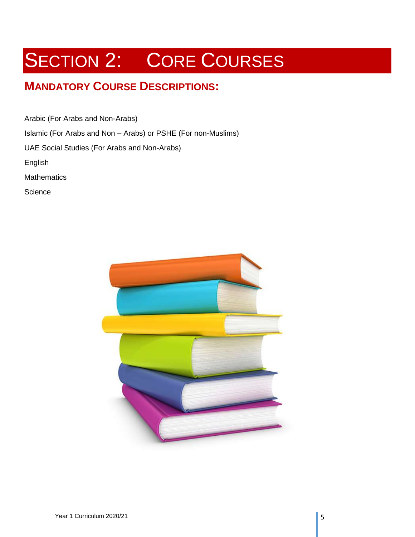## **MANDATORY COURSE DESCRIPTIONS:**

Arabic (For Arabs and Non-Arabs)

Islamic (For Arabs and Non – Arabs) or PSHE (For non-Muslims)

UAE Social Studies (For Arabs and Non-Arabs)

English

**Mathematics** 

**Science** 

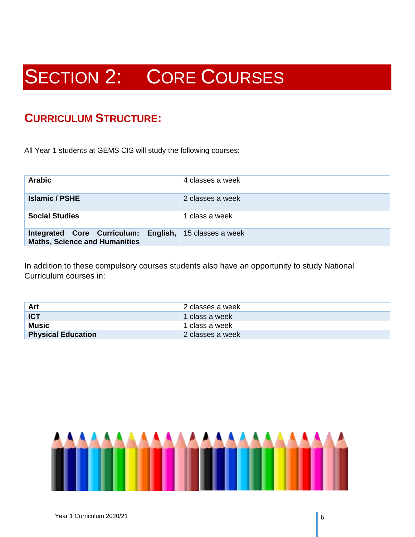### **CURRICULUM STRUCTURE:**

All Year 1 students at GEMS CIS will study the following courses:

| <b>Arabic</b>                                                                | 4 classes a week  |
|------------------------------------------------------------------------------|-------------------|
| <b>Islamic / PSHE</b>                                                        | 2 classes a week  |
| <b>Social Studies</b>                                                        | 1 class a week    |
| Integrated Core Curriculum: English,<br><b>Maths, Science and Humanities</b> | 15 classes a week |

In addition to these compulsory courses students also have an opportunity to study National Curriculum courses in:

| <b>Art</b>                | ' 2 classes a week |
|---------------------------|--------------------|
| ICT                       | 1 class a week     |
| Music                     | ' 1 class a week   |
| <b>Physical Education</b> | 2 classes a week   |

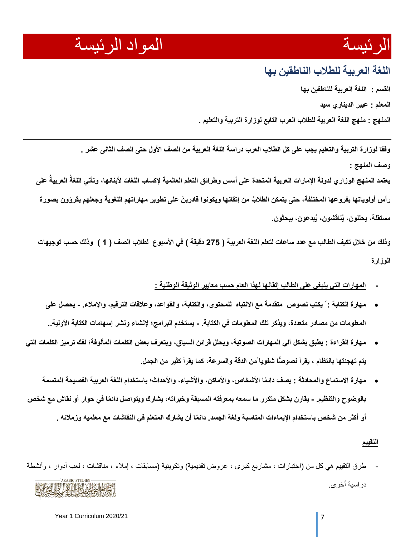## الرئيسة المواد الرئيسة

### **اللغة العربية للطالب الناطقين بها**

**القسم : اللغة العربية للناطقين بها المعلم : عبير الديناري سيد المنهج : منهج اللغة العربية للطالب العرب التابع لوزارة التربية والتعليم .**

**وفقا لوزارة التربية والتعليم يجب على كل الطالب العرب دراسة اللغة العربية من الصف األول حتى الصف الثانى عشر . وصف المنهج :** 

**العربيةُ على يعتمد المنهج الوزاري لدولة اإلمارات العربية المتحدة على أسس وطرائق التعلم العالمية إلكساب اللغات ألبنائها، وتأتي اللغةُ** رأس أولوياتها بفروعها المختلفة، حتى يتمكن الطلابُ من إتقانها ويكونوا فادرينَ على تطوير مهاراتهم اللغوية وجعلهم يقرؤون بصورة **مستقلة، يحللون، يُناقشون، يُبدعون، يبحثون.**

**وذلك من خالل تكيف الطالب مع عدد ساعات لتعلم اللغة العربية ) 275 دقيقة ( في األسبوع لطالب الصف ) 1 ( وذلك حسب توجيهات الوزارة**

- **- المهارات التي ينبغي على الطالب إتقانها لهذا العام حسب معايير الوثيقة الوطنية :**
- **مهارة الكتابة : ً يكتب نصوص متقدمة مع االنتباه للمحتوى، والكتابة، والقواعد، وعالقات الترقيم، واإلمالء. - يحصل على المعلومات من مصادر متعددة، ويذكر تلك المعلومات في الكتابة. - يستخدم البرامج؛ إلنشاء ونشر إسهامات الكتابة األولية..**
- **مهارة القراءة : يطبق بشكل آلي المهارات الصوتية، ويحلل قرائن السياق، ويتعرف بعض الكلمات المألوفة؛ لفك ترميز الكلمات التي يتم تهجئتها بانتظام ، يقرأ نصو ًّصا شفوياًمن الدقة والسرعة، كما يقرأ كثير من الجمل.**
- مهارة الاستماع والمحادثة : يصف دائمًا الأشخاص، والأماكن، والأشياء، والأحداث؛ باستخدام اللغة العربية الفصيحة المتسمة بالوضوح والتنظيم. - يقارن بشكل متكرر ما سمعه بمعرفته المسبقة وخبراته، يشارك ويتواصل دائمًا في حوار أو نقاش مع شخص أو أكثر من شخص باستخدام الإيماءات المناسبة ولغة الجسد. دائمًا أن يشارك المتعلم في النقاشات مع معلميه وزملائه .

#### **التقييم**

طرق التقييم هي كل من (اختبارات ، مشاريع كبرى ، عروض تقديمية) وتكوينية (مسابقات ، إملاء ، مناقشات ، لعب أدوار ، وأنشطة دراسية أخرى.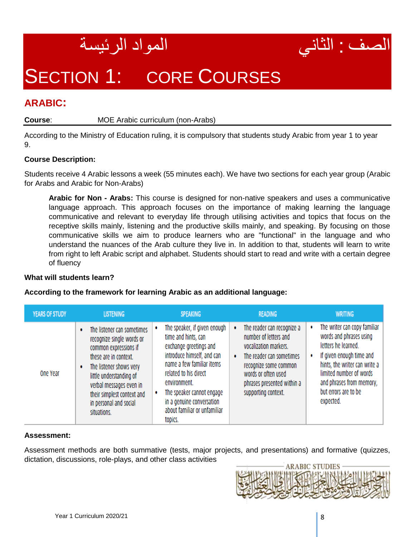



### **ARABIC:**

#### **Course**: MOE Arabic curriculum (non-Arabs)

According to the Ministry of Education ruling, it is compulsory that students study Arabic from year 1 to year 9.

#### **Course Description:**

Students receive 4 Arabic lessons a week (55 minutes each). We have two sections for each year group (Arabic for Arabs and Arabic for Non-Arabs)

**Arabic for Non - Arabs:** This course is designed for non-native speakers and uses a communicative language approach. This approach focuses on the importance of making learning the language communicative and relevant to everyday life through utilising activities and topics that focus on the receptive skills mainly, listening and the productive skills mainly, and speaking. By focusing on those communicative skills we aim to produce learners who are "functional" in the language and who understand the nuances of the Arab culture they live in. In addition to that, students will learn to write from right to left Arabic script and alphabet. Students should start to read and write with a certain degree of fluency

#### **What will students learn?**

#### **According to the framework for learning Arabic as an additional language:**

| <b>YEARS OF STUDY</b> | <b>LISTENING</b>                                                                                                                                                                                                                                                  | <b>SPEAKING</b>                                                                                                                                                                                                                                                                             | <b>READING</b>                                                                                                                                                                                                             | <b>WRITING</b>                                                                                                                                                                                                                               |
|-----------------------|-------------------------------------------------------------------------------------------------------------------------------------------------------------------------------------------------------------------------------------------------------------------|---------------------------------------------------------------------------------------------------------------------------------------------------------------------------------------------------------------------------------------------------------------------------------------------|----------------------------------------------------------------------------------------------------------------------------------------------------------------------------------------------------------------------------|----------------------------------------------------------------------------------------------------------------------------------------------------------------------------------------------------------------------------------------------|
| One Year              | The listener can sometimes<br>recognize single words or<br>common expressions if<br>these are in context.<br>The listener shows very<br>little understanding of<br>verbal messages even in<br>their simplest context and<br>in personal and social<br>situations. | The speaker, if given enough<br>time and hints, can<br>exchange greetings and<br>introduce himself, and can<br>name a few familiar items<br>related to his direct<br>environment.<br>The speaker cannot engage<br>٠<br>in a genuine conversation<br>about familiar or unfamiliar<br>topics. | The reader can recognize a<br>number of letters and<br>vocalization markers.<br>The reader can sometimes<br>$\bullet$<br>recognize some common<br>words or often used<br>phrases presented within a<br>supporting context. | The writer can copy familiar<br>٠<br>words and phrases using<br>letters he learned.<br>If given enough time and<br>hints, the writer can write a<br>limited number of words<br>and phrases from memory,<br>but errors are to be<br>expected. |

#### **Assessment:**

Assessment methods are both summative (tests, major projects, and presentations) and formative (quizzes, dictation, discussions, role-plays, and other class activities

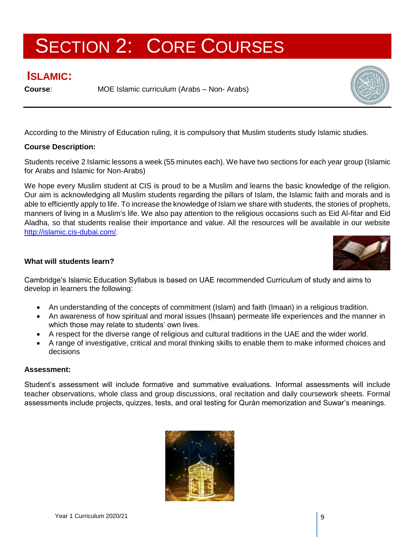### **ISLAMIC:**

**Course:** MOE Islamic curriculum (Arabs – Non- Arabs)



According to the Ministry of Education ruling, it is compulsory that Muslim students study Islamic studies.

#### **Course Description:**

Students receive 2 Islamic lessons a week (55 minutes each). We have two sections for each year group (Islamic for Arabs and Islamic for Non-Arabs)

We hope every Muslim student at CIS is proud to be a Muslim and learns the basic knowledge of the religion. Our aim is acknowledging all Muslim students regarding the pillars of Islam, the Islamic faith and morals and is able to efficiently apply to life. To increase the knowledge of Islam we share with students, the stories of prophets, manners of living in a Muslim's life. We also pay attention to the religious occasions such as Eid Al-fitar and Eid Aladha, so that students realise their importance and value. All the resources will be available in our website [http://islamic.cis-dubai.com/.](http://islamic.cis-dubai.com/)



#### **What will students learn?**

Cambridge's Islamic Education Syllabus is based on UAE recommended Curriculum of study and aims to develop in learners the following:

- An understanding of the concepts of commitment (Islam) and faith (Imaan) in a religious tradition.
- An awareness of how spiritual and moral issues (Ihsaan) permeate life experiences and the manner in which those may relate to students' own lives.
- A respect for the diverse range of religious and cultural traditions in the UAE and the wider world.
- A range of investigative, critical and moral thinking skills to enable them to make informed choices and decisions

#### **Assessment:**

Student's assessment will include formative and summative evaluations. Informal assessments will include teacher observations, whole class and group discussions, oral recitation and daily coursework sheets. Formal assessments include projects, quizzes, tests, and oral testing for Qurán memorization and Suwar's meanings.

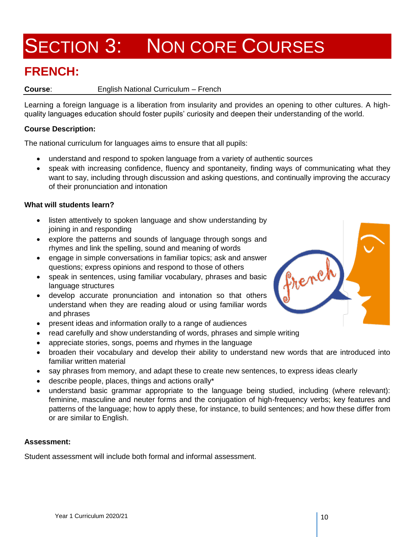## SECTION 3: NON CORE COURSES

## **FRENCH:**

#### **Course**: English National Curriculum – French

Learning a foreign language is a liberation from insularity and provides an opening to other cultures. A highquality languages education should foster pupils' curiosity and deepen their understanding of the world.

#### **Course Description:**

The national curriculum for languages aims to ensure that all pupils:

- understand and respond to spoken language from a variety of authentic sources
- speak with increasing confidence, fluency and spontaneity, finding ways of communicating what they want to say, including through discussion and asking questions, and continually improving the accuracy of their pronunciation and intonation

#### **What will students learn?**

- listen attentively to spoken language and show understanding by joining in and responding
- explore the patterns and sounds of language through songs and rhymes and link the spelling, sound and meaning of words
- engage in simple conversations in familiar topics; ask and answer questions; express opinions and respond to those of others
- speak in sentences, using familiar vocabulary, phrases and basic language structures
- develop accurate pronunciation and intonation so that others understand when they are reading aloud or using familiar words and phrases
- present ideas and information orally to a range of audiences
- read carefully and show understanding of words, phrases and simple writing
- appreciate stories, songs, poems and rhymes in the language
- broaden their vocabulary and develop their ability to understand new words that are introduced into familiar written material
- say phrases from memory, and adapt these to create new sentences, to express ideas clearly
- describe people, places, things and actions orally\*
- understand basic grammar appropriate to the language being studied, including (where relevant): feminine, masculine and neuter forms and the conjugation of high-frequency verbs; key features and patterns of the language; how to apply these, for instance, to build sentences; and how these differ from or are similar to English.

#### **Assessment:**

Student assessment will include both formal and informal assessment.

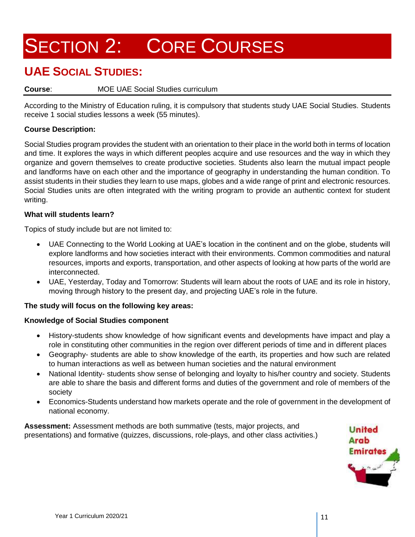### **UAE SOCIAL STUDIES:**

#### **Course**: MOE UAE Social Studies curriculum

According to the Ministry of Education ruling, it is compulsory that students study UAE Social Studies. Students receive 1 social studies lessons a week (55 minutes).

#### **Course Description:**

Social Studies program provides the student with an orientation to their place in the world both in terms of location and time. It explores the ways in which different peoples acquire and use resources and the way in which they organize and govern themselves to create productive societies. Students also learn the mutual impact people and landforms have on each other and the importance of geography in understanding the human condition. To assist students in their studies they learn to use maps, globes and a wide range of print and electronic resources. Social Studies units are often integrated with the writing program to provide an authentic context for student writing.

#### **What will students learn?**

Topics of study include but are not limited to:

- UAE Connecting to the World Looking at UAE's location in the continent and on the globe, students will explore landforms and how societies interact with their environments. Common commodities and natural resources, imports and exports, transportation, and other aspects of looking at how parts of the world are interconnected.
- UAE, Yesterday, Today and Tomorrow: Students will learn about the roots of UAE and its role in history, moving through history to the present day, and projecting UAE's role in the future.

#### **The study will focus on the following key areas:**

#### **Knowledge of Social Studies component**

- History-students show knowledge of how significant events and developments have impact and play a role in constituting other communities in the region over different periods of time and in different places
- Geography- students are able to show knowledge of the earth, its properties and how such are related to human interactions as well as between human societies and the natural environment
- National Identity- students show sense of belonging and loyalty to his/her country and society. Students are able to share the basis and different forms and duties of the government and role of members of the society
- Economics-Students understand how markets operate and the role of government in the development of national economy.

**Assessment:** Assessment methods are both summative (tests, major projects, and presentations) and formative (quizzes, discussions, role-plays, and other class activities.)

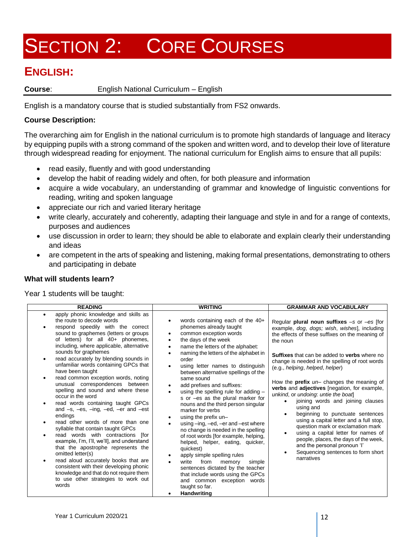### **ENGLISH:**

**Course**: English National Curriculum – English

English is a mandatory course that is studied substantially from FS2 onwards.

#### **Course Description:**

The overarching aim for English in the national curriculum is to promote high standards of language and literacy by equipping pupils with a strong command of the spoken and written word, and to develop their love of literature through widespread reading for enjoyment. The national curriculum for English aims to ensure that all pupils:

- read easily, fluently and with good understanding
- develop the habit of reading widely and often, for both pleasure and information
- acquire a wide vocabulary, an understanding of grammar and knowledge of linguistic conventions for reading, writing and spoken language
- appreciate our rich and varied literary heritage
- write clearly, accurately and coherently, adapting their language and style in and for a range of contexts, purposes and audiences
- use discussion in order to learn; they should be able to elaborate and explain clearly their understanding and ideas
- are competent in the arts of speaking and listening, making formal presentations, demonstrating to others and participating in debate

#### **What will students learn?**

Year 1 students will be taught:

| <b>READING</b>                                                                                                                                                                                                                                                                                                                                                                                                                                                                                                                                                                                                                                                                                                                                                                                                                                                                                                                                                                                                                                                                         | <b>WRITING</b>                                                                                                                                                                                                                                                                                                                                                                                                                                                                                                                                                                                                                                                                                                                                                                                                                                                                                                                                                                                                                  | <b>GRAMMAR AND VOCABULARY</b>                                                                                                                                                                                                                                                                                                                                                                                                                                                                                                                                                                                                                                                                                                                                                                                                     |
|----------------------------------------------------------------------------------------------------------------------------------------------------------------------------------------------------------------------------------------------------------------------------------------------------------------------------------------------------------------------------------------------------------------------------------------------------------------------------------------------------------------------------------------------------------------------------------------------------------------------------------------------------------------------------------------------------------------------------------------------------------------------------------------------------------------------------------------------------------------------------------------------------------------------------------------------------------------------------------------------------------------------------------------------------------------------------------------|---------------------------------------------------------------------------------------------------------------------------------------------------------------------------------------------------------------------------------------------------------------------------------------------------------------------------------------------------------------------------------------------------------------------------------------------------------------------------------------------------------------------------------------------------------------------------------------------------------------------------------------------------------------------------------------------------------------------------------------------------------------------------------------------------------------------------------------------------------------------------------------------------------------------------------------------------------------------------------------------------------------------------------|-----------------------------------------------------------------------------------------------------------------------------------------------------------------------------------------------------------------------------------------------------------------------------------------------------------------------------------------------------------------------------------------------------------------------------------------------------------------------------------------------------------------------------------------------------------------------------------------------------------------------------------------------------------------------------------------------------------------------------------------------------------------------------------------------------------------------------------|
| apply phonic knowledge and skills as<br>٠<br>the route to decode words<br>respond speedily with the correct<br>$\bullet$<br>sound to graphemes (letters or groups<br>of letters) for all 40+ phonemes,<br>including, where applicable, alternative<br>sounds for graphemes<br>read accurately by blending sounds in<br>$\bullet$<br>unfamiliar words containing GPCs that<br>have been taught<br>read common exception words, noting<br>$\bullet$<br>unusual correspondences between<br>spelling and sound and where these<br>occur in the word<br>read words containing taught GPCs<br>$\bullet$<br>and $-s$ , $-es$ , $-ing$ , $-ed$ , $-er$ and $-est$<br>endings<br>read other words of more than one<br>syllable that contain taught GPCs<br>read words with contractions [for<br>example, I'm, I'll, we'll], and understand<br>that the apostrophe represents the<br>omitted letter(s)<br>read aloud accurately books that are<br>$\bullet$<br>consistent with their developing phonic<br>knowledge and that do not require them<br>to use other strategies to work out<br>words | words containing each of the 40+<br>٠<br>phonemes already taught<br>common exception words<br>$\bullet$<br>the days of the week<br>$\bullet$<br>name the letters of the alphabet:<br>$\bullet$<br>naming the letters of the alphabet in<br>$\bullet$<br>order<br>using letter names to distinguish<br>$\bullet$<br>between alternative spellings of the<br>same sound<br>add prefixes and suffixes:<br>$\bullet$<br>using the spelling rule for adding -<br>$\bullet$<br>s or -es as the plural marker for<br>nouns and the third person singular<br>marker for verbs<br>using the prefix un-<br>$\bullet$<br>using -ing, -ed, -er and -est where<br>$\bullet$<br>no change is needed in the spelling<br>of root words [for example, helping,<br>helped, helper, eating, quicker,<br>quickest)<br>apply simple spelling rules<br>$\bullet$<br>write<br>from<br>memory<br>simple<br>sentences dictated by the teacher<br>that include words using the GPCs<br>and common exception words<br>taught so far.<br><b>Handwriting</b> | Regular plural noun suffixes $-s$ or $-es$ [for<br>example, dog, dogs; wish, wishes], including<br>the effects of these suffixes on the meaning of<br>the noun<br><b>Suffixes</b> that can be added to <b>verbs</b> where no<br>change is needed in the spelling of root words<br>(e.g., helping, helped, helper)<br>How the <b>prefix</b> $un-$ changes the meaning of<br>verbs and adjectives [negation, for example,<br>unkind, or undoing: untie the boat<br>joining words and joining clauses<br>using and<br>beginning to punctuate sentences<br>$\bullet$<br>using a capital letter and a full stop,<br>question mark or exclamation mark<br>using a capital letter for names of<br>people, places, the days of the week,<br>and the personal pronoun 'I'<br>Sequencing sentences to form short<br>$\bullet$<br>narratives |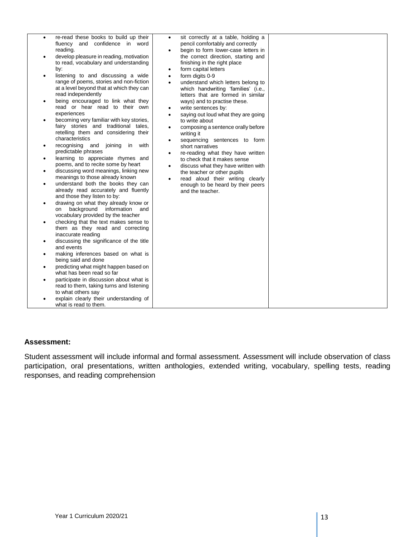| $\bullet$<br>$\bullet$<br>$\bullet$<br>٠<br>$\bullet$<br>$\bullet$<br>٠<br>$\bullet$<br>$\bullet$<br>$\bullet$<br>٠<br>$\bullet$ | re-read these books to build up their<br>fluency and confidence in word<br>reading.<br>develop pleasure in reading, motivation<br>to read, vocabulary and understanding<br>by:<br>listening to and discussing a wide<br>range of poems, stories and non-fiction<br>at a level beyond that at which they can<br>read independently<br>being encouraged to link what they<br>read or hear read to their own<br>experiences<br>becoming very familiar with key stories,<br>fairy stories and traditional tales,<br>retelling them and considering their<br>characteristics<br>recognising and joining in with<br>predictable phrases<br>learning to appreciate rhymes and<br>poems, and to recite some by heart<br>discussing word meanings, linking new<br>meanings to those already known<br>understand both the books they can<br>already read accurately and fluently<br>and those they listen to by:<br>drawing on what they already know or<br>background information<br>and<br>on<br>vocabulary provided by the teacher<br>checking that the text makes sense to<br>them as they read and correcting<br>inaccurate reading<br>discussing the significance of the title<br>and events<br>making inferences based on what is<br>being said and done<br>predicting what might happen based on<br>what has been read so far<br>participate in discussion about what is<br>read to them, taking turns and listening<br>to what others say<br>explain clearly their understanding of<br>what is read to them. | sit correctly at a table, holding a<br>$\bullet$<br>pencil comfortably and correctly<br>begin to form lower-case letters in<br>$\bullet$<br>the correct direction, starting and<br>finishing in the right place<br>form capital letters<br>٠<br>form digits 0-9<br>$\bullet$<br>understand which letters belong to<br>$\bullet$<br>which handwriting 'families' (i.e.,<br>letters that are formed in similar<br>ways) and to practise these.<br>write sentences by:<br>$\bullet$<br>saying out loud what they are going<br>$\bullet$<br>to write about<br>composing a sentence orally before<br>$\bullet$<br>writing it<br>sequencing sentences to form<br>$\bullet$<br>short narratives<br>re-reading what they have written<br>$\bullet$<br>to check that it makes sense<br>discuss what they have written with<br>$\bullet$<br>the teacher or other pupils<br>read aloud their writing clearly<br>$\bullet$<br>enough to be heard by their peers<br>and the teacher. |  |
|----------------------------------------------------------------------------------------------------------------------------------|-------------------------------------------------------------------------------------------------------------------------------------------------------------------------------------------------------------------------------------------------------------------------------------------------------------------------------------------------------------------------------------------------------------------------------------------------------------------------------------------------------------------------------------------------------------------------------------------------------------------------------------------------------------------------------------------------------------------------------------------------------------------------------------------------------------------------------------------------------------------------------------------------------------------------------------------------------------------------------------------------------------------------------------------------------------------------------------------------------------------------------------------------------------------------------------------------------------------------------------------------------------------------------------------------------------------------------------------------------------------------------------------------------------------------------------------------------------------------------------------------------------|-------------------------------------------------------------------------------------------------------------------------------------------------------------------------------------------------------------------------------------------------------------------------------------------------------------------------------------------------------------------------------------------------------------------------------------------------------------------------------------------------------------------------------------------------------------------------------------------------------------------------------------------------------------------------------------------------------------------------------------------------------------------------------------------------------------------------------------------------------------------------------------------------------------------------------------------------------------------------|--|

#### **Assessment:**

Student assessment will include informal and formal assessment. Assessment will include observation of class participation, oral presentations, written anthologies, extended writing, vocabulary, spelling tests, reading responses, and reading comprehension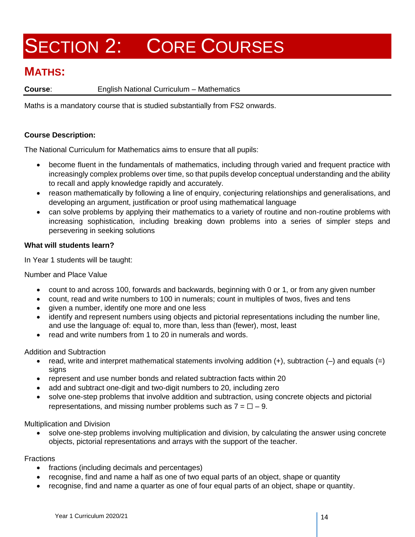### **MATHS:**

**Course**: English National Curriculum – Mathematics

Maths is a mandatory course that is studied substantially from FS2 onwards.

#### **Course Description:**

The National Curriculum for Mathematics aims to ensure that all pupils:

- become fluent in the fundamentals of mathematics, including through varied and frequent practice with increasingly complex problems over time, so that pupils develop conceptual understanding and the ability to recall and apply knowledge rapidly and accurately.
- reason mathematically by following a line of enquiry, conjecturing relationships and generalisations, and developing an argument, justification or proof using mathematical language
- can solve problems by applying their mathematics to a variety of routine and non-routine problems with increasing sophistication, including breaking down problems into a series of simpler steps and persevering in seeking solutions

#### **What will students learn?**

In Year 1 students will be taught:

Number and Place Value

- count to and across 100, forwards and backwards, beginning with 0 or 1, or from any given number
- count, read and write numbers to 100 in numerals; count in multiples of twos, fives and tens
- given a number, identify one more and one less
- identify and represent numbers using objects and pictorial representations including the number line, and use the language of: equal to, more than, less than (fewer), most, least
- read and write numbers from 1 to 20 in numerals and words.

Addition and Subtraction

- read, write and interpret mathematical statements involving addition  $(+)$ , subtraction  $(-)$  and equals  $(=)$ signs
- represent and use number bonds and related subtraction facts within 20
- add and subtract one-digit and two-digit numbers to 20, including zero
- solve one-step problems that involve addition and subtraction, using concrete objects and pictorial representations, and missing number problems such as  $7 = \square - 9$ .

Multiplication and Division

solve one-step problems involving multiplication and division, by calculating the answer using concrete objects, pictorial representations and arrays with the support of the teacher.

#### **Fractions**

- fractions (including decimals and percentages)
- recognise, find and name a half as one of two equal parts of an object, shape or quantity
- recognise, find and name a quarter as one of four equal parts of an object, shape or quantity.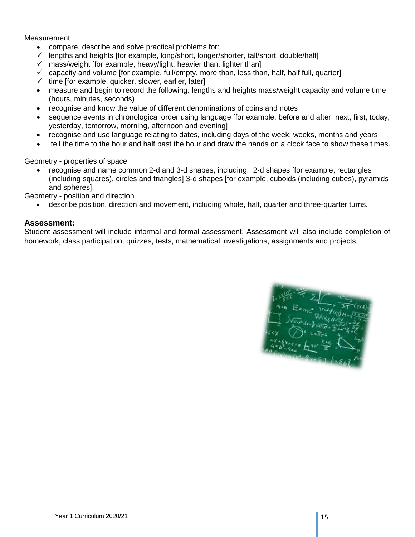**Measurement** 

- compare, describe and solve practical problems for:
- lengths and heights [for example, long/short, longer/shorter, tall/short, double/half]
- $\checkmark$  mass/weight [for example, heavy/light, heavier than, lighter than]
- $\checkmark$  capacity and volume [for example, full/empty, more than, less than, half, half full, quarter]
- $\checkmark$  time [for example, quicker, slower, earlier, later]
- measure and begin to record the following: lengths and heights mass/weight capacity and volume time (hours, minutes, seconds)
- recognise and know the value of different denominations of coins and notes
- sequence events in chronological order using language [for example, before and after, next, first, today, yesterday, tomorrow, morning, afternoon and evening]
- recognise and use language relating to dates, including days of the week, weeks, months and years
- tell the time to the hour and half past the hour and draw the hands on a clock face to show these times.

Geometry - properties of space

• recognise and name common 2-d and 3-d shapes, including: 2-d shapes [for example, rectangles (including squares), circles and triangles] 3-d shapes [for example, cuboids (including cubes), pyramids and spheres].

Geometry - position and direction

• describe position, direction and movement, including whole, half, quarter and three-quarter turns.

#### **Assessment:**

Student assessment will include informal and formal assessment. Assessment will also include completion of homework, class participation, quizzes, tests, mathematical investigations, assignments and projects.

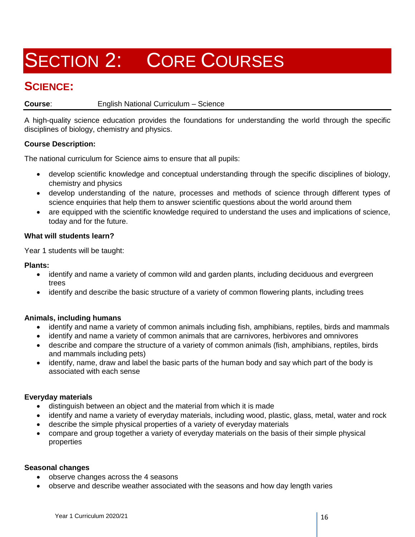### **SCIENCE:**

#### **Course**: English National Curriculum – Science

A high-quality science education provides the foundations for understanding the world through the specific disciplines of biology, chemistry and physics.

#### **Course Description:**

The national curriculum for Science aims to ensure that all pupils:

- develop scientific knowledge and conceptual understanding through the specific disciplines of biology, chemistry and physics
- develop understanding of the nature, processes and methods of science through different types of science enquiries that help them to answer scientific questions about the world around them
- are equipped with the scientific knowledge required to understand the uses and implications of science, today and for the future.

#### **What will students learn?**

Year 1 students will be taught:

#### **Plants:**

- identify and name a variety of common wild and garden plants, including deciduous and evergreen trees
- identify and describe the basic structure of a variety of common flowering plants, including trees

#### **Animals, including humans**

- identify and name a variety of common animals including fish, amphibians, reptiles, birds and mammals
- identify and name a variety of common animals that are carnivores, herbivores and omnivores
- describe and compare the structure of a variety of common animals (fish, amphibians, reptiles, birds and mammals including pets)
- identify, name, draw and label the basic parts of the human body and say which part of the body is associated with each sense

#### **Everyday materials**

- distinguish between an object and the material from which it is made
- identify and name a variety of everyday materials, including wood, plastic, glass, metal, water and rock
- describe the simple physical properties of a variety of everyday materials
- compare and group together a variety of everyday materials on the basis of their simple physical properties

#### **Seasonal changes**

- observe changes across the 4 seasons
- observe and describe weather associated with the seasons and how day length varies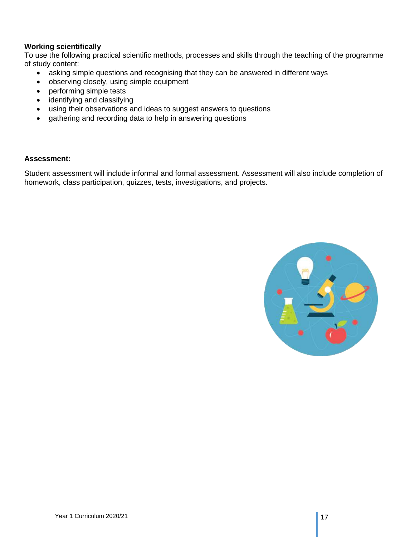#### **Working scientifically**

To use the following practical scientific methods, processes and skills through the teaching of the programme of study content:

- asking simple questions and recognising that they can be answered in different ways
- observing closely, using simple equipment
- performing simple tests
- identifying and classifying
- using their observations and ideas to suggest answers to questions
- gathering and recording data to help in answering questions

#### **Assessment:**

Student assessment will include informal and formal assessment. Assessment will also include completion of homework, class participation, quizzes, tests, investigations, and projects.

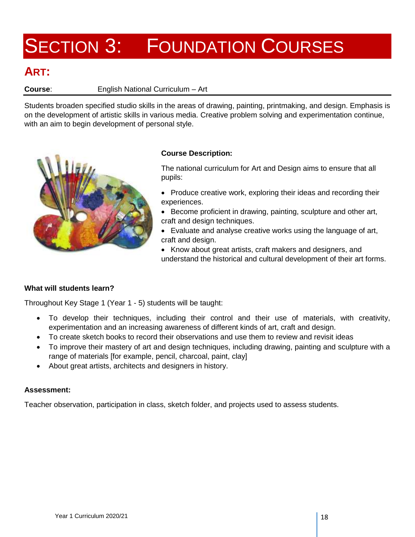### **ART:**

#### **Course**: English National Curriculum – Art

Students broaden specified studio skills in the areas of drawing, painting, printmaking, and design. Emphasis is on the development of artistic skills in various media. Creative problem solving and experimentation continue, with an aim to begin development of personal style.



#### **Course Description:**

The national curriculum for Art and Design aims to ensure that all pupils:

- Produce creative work, exploring their ideas and recording their experiences.
- Become proficient in drawing, painting, sculpture and other art, craft and design techniques.
- Evaluate and analyse creative works using the language of art, craft and design.
- Know about great artists, craft makers and designers, and understand the historical and cultural development of their art forms.

#### **What will students learn?**

Throughout Key Stage 1 (Year 1 - 5) students will be taught:

- To develop their techniques, including their control and their use of materials, with creativity, experimentation and an increasing awareness of different kinds of art, craft and design.
- To create sketch books to record their observations and use them to review and revisit ideas
- To improve their mastery of art and design techniques, including drawing, painting and sculpture with a range of materials [for example, pencil, charcoal, paint, clay]
- About great artists, architects and designers in history.

#### **Assessment:**

Teacher observation, participation in class, sketch folder, and projects used to assess students.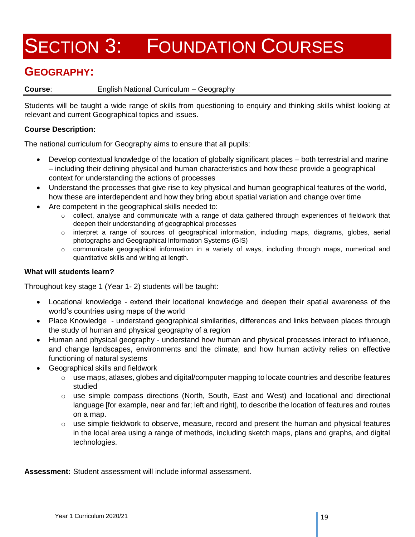### **GEOGRAPHY:**

#### **Course**: English National Curriculum – Geography

Students will be taught a wide range of skills from questioning to enquiry and thinking skills whilst looking at relevant and current Geographical topics and issues.

#### **Course Description:**

The national curriculum for Geography aims to ensure that all pupils:

- Develop contextual knowledge of the location of globally significant places both terrestrial and marine – including their defining physical and human characteristics and how these provide a geographical context for understanding the actions of processes
- Understand the processes that give rise to key physical and human geographical features of the world, how these are interdependent and how they bring about spatial variation and change over time
- Are competent in the geographical skills needed to:
	- $\circ$  collect, analyse and communicate with a range of data gathered through experiences of fieldwork that deepen their understanding of geographical processes
	- o interpret a range of sources of geographical information, including maps, diagrams, globes, aerial photographs and Geographical Information Systems (GIS)
	- o communicate geographical information in a variety of ways, including through maps, numerical and quantitative skills and writing at length.

#### **What will students learn?**

Throughout key stage 1 (Year 1- 2) students will be taught:

- Locational knowledge extend their locational knowledge and deepen their spatial awareness of the world's countries using maps of the world
- Place Knowledge understand geographical similarities, differences and links between places through the study of human and physical geography of a region
- Human and physical geography understand how human and physical processes interact to influence, and change landscapes, environments and the climate; and how human activity relies on effective functioning of natural systems
- Geographical skills and fieldwork
	- $\circ$  use maps, atlases, globes and digital/computer mapping to locate countries and describe features studied
	- $\circ$  use simple compass directions (North, South, East and West) and locational and directional language [for example, near and far; left and right], to describe the location of features and routes on a map.
	- $\circ$  use simple fieldwork to observe, measure, record and present the human and physical features in the local area using a range of methods, including sketch maps, plans and graphs, and digital technologies.

**Assessment:** Student assessment will include informal assessment.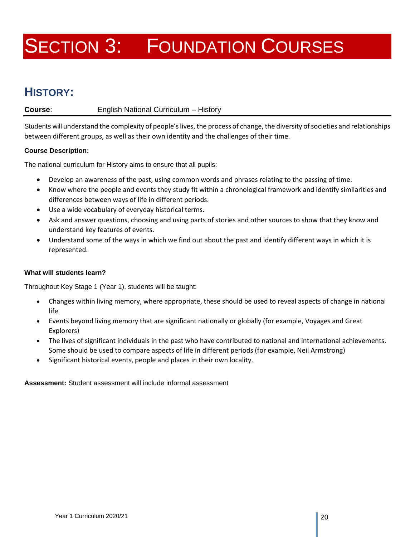## **HISTORY:**

#### **Course**: English National Curriculum – History

Students will understand the complexity of people's lives, the process of change, the diversity of societies and relationships between different groups, as well as their own identity and the challenges of their time.

#### **Course Description:**

The national curriculum for History aims to ensure that all pupils:

- Develop an awareness of the past, using common words and phrases relating to the passing of time.
- Know where the people and events they study fit within a chronological framework and identify similarities and differences between ways of life in different periods.
- Use a wide vocabulary of everyday historical terms.
- Ask and answer questions, choosing and using parts of stories and other sources to show that they know and understand key features of events.
- Understand some of the ways in which we find out about the past and identify different ways in which it is represented.

#### **What will students learn?**

Throughout Key Stage 1 (Year 1), students will be taught:

- Changes within living memory, where appropriate, these should be used to reveal aspects of change in national life
- Events beyond living memory that are significant nationally or globally (for example, Voyages and Great Explorers)
- The lives of significant individuals in the past who have contributed to national and international achievements. Some should be used to compare aspects of life in different periods (for example, Neil Armstrong)
- Significant historical events, people and places in their own locality.

**Assessment:** Student assessment will include informal assessment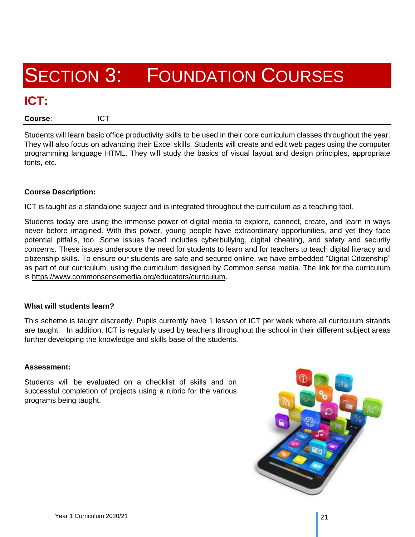### **ICT:**

**Course**: ICT

Students will learn basic office productivity skills to be used in their core curriculum classes throughout the year. They will also focus on advancing their Excel skills. Students will create and edit web pages using the computer programming language HTML. They will study the basics of visual layout and design principles, appropriate fonts, etc.

#### **Course Description:**

ICT is taught as a standalone subject and is integrated throughout the curriculum as a teaching tool.

Students today are using the immense power of digital media to explore, connect, create, and learn in ways never before imagined. With this power, young people have extraordinary opportunities, and yet they face potential pitfalls, too. Some issues faced includes cyberbullying, digital cheating, and safety and security concerns. These issues underscore the need for students to learn and for teachers to teach digital literacy and citizenship skills. To ensure our students are safe and secured online, we have embedded "Digital Citizenship" as part of our curriculum, using the curriculum designed by Common sense media. The link for the curriculum is [https://www.commonsensemedia.org/educators/curriculum.](https://www.commonsensemedia.org/educators/curriculum)

#### **What will students learn?**

This scheme is taught discreetly. Pupils currently have 1 lesson of ICT per week where all curriculum strands are taught. In addition, ICT is regularly used by teachers throughout the school in their different subject areas further developing the knowledge and skills base of the students.

#### **Assessment:**

Students will be evaluated on a checklist of skills and on successful completion of projects using a rubric for the various programs being taught.

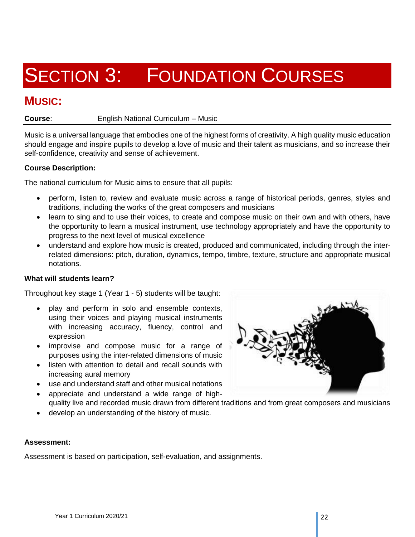### **MUSIC:**

**Course**: English National Curriculum – Music

Music is a universal language that embodies one of the highest forms of creativity. A high quality music education should engage and inspire pupils to develop a love of music and their talent as musicians, and so increase their self-confidence, creativity and sense of achievement.

#### **Course Description:**

The national curriculum for Music aims to ensure that all pupils:

- perform, listen to, review and evaluate music across a range of historical periods, genres, styles and traditions, including the works of the great composers and musicians
- learn to sing and to use their voices, to create and compose music on their own and with others, have the opportunity to learn a musical instrument, use technology appropriately and have the opportunity to progress to the next level of musical excellence
- understand and explore how music is created, produced and communicated, including through the interrelated dimensions: pitch, duration, dynamics, tempo, timbre, texture, structure and appropriate musical notations.

#### **What will students learn?**

Throughout key stage 1 (Year 1 - 5) students will be taught:

- play and perform in solo and ensemble contexts, using their voices and playing musical instruments with increasing accuracy, fluency, control and expression
- improvise and compose music for a range of purposes using the inter-related dimensions of music
- listen with attention to detail and recall sounds with increasing aural memory
- use and understand staff and other musical notations
- appreciate and understand a wide range of highquality live and recorded music drawn from different traditions and from great composers and musicians
- develop an understanding of the history of music.

#### **Assessment:**

Assessment is based on participation, self-evaluation, and assignments.

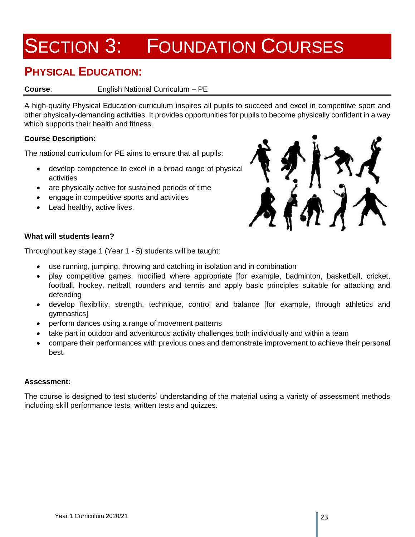### **PHYSICAL EDUCATION:**

#### **Course**: English National Curriculum – PE

A high-quality Physical Education curriculum inspires all pupils to succeed and excel in competitive sport and other physically-demanding activities. It provides opportunities for pupils to become physically confident in a way which supports their health and fitness.

#### **Course Description:**

The national curriculum for PE aims to ensure that all pupils:

- develop competence to excel in a broad range of physical activities
- are physically active for sustained periods of time
- engage in competitive sports and activities
- Lead healthy, active lives.



#### **What will students learn?**

Throughout key stage 1 (Year 1 - 5) students will be taught:

- use running, jumping, throwing and catching in isolation and in combination
- play competitive games, modified where appropriate [for example, badminton, basketball, cricket, football, hockey, netball, rounders and tennis and apply basic principles suitable for attacking and defending
- develop flexibility, strength, technique, control and balance [for example, through athletics and gymnastics]
- perform dances using a range of movement patterns
- take part in outdoor and adventurous activity challenges both individually and within a team
- compare their performances with previous ones and demonstrate improvement to achieve their personal best.

#### **Assessment:**

The course is designed to test students' understanding of the material using a variety of assessment methods including skill performance tests, written tests and quizzes.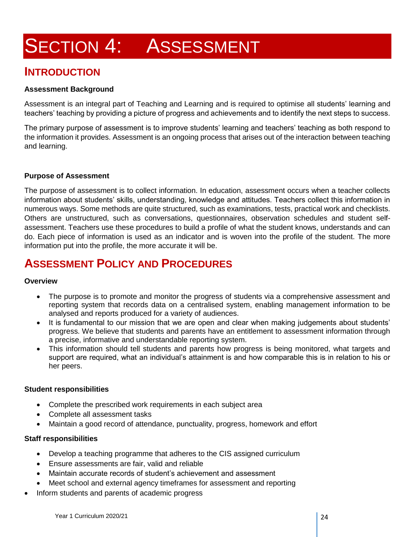## **SECTION 4: ASSESSMENT**

### **INTRODUCTION**

#### **Assessment Background**

Assessment is an integral part of Teaching and Learning and is required to optimise all students' learning and teachers' teaching by providing a picture of progress and achievements and to identify the next steps to success.

The primary purpose of assessment is to improve students' learning and teachers' teaching as both respond to the information it provides. Assessment is an ongoing process that arises out of the interaction between teaching and learning.

#### **Purpose of Assessment**

The purpose of assessment is to collect information. In education, assessment occurs when a teacher collects information about students' skills, understanding, knowledge and attitudes. Teachers collect this information in numerous ways. Some methods are quite structured, such as examinations, tests, practical work and checklists. Others are unstructured, such as conversations, questionnaires, observation schedules and student selfassessment. Teachers use these procedures to build a profile of what the student knows, understands and can do. Each piece of information is used as an indicator and is woven into the profile of the student. The more information put into the profile, the more accurate it will be.

### **ASSESSMENT POLICY AND PROCEDURES**

#### **Overview**

- The purpose is to promote and monitor the progress of students via a comprehensive assessment and reporting system that records data on a centralised system, enabling management information to be analysed and reports produced for a variety of audiences.
- It is fundamental to our mission that we are open and clear when making judgements about students' progress. We believe that students and parents have an entitlement to assessment information through a precise, informative and understandable reporting system.
- This information should tell students and parents how progress is being monitored, what targets and support are required, what an individual's attainment is and how comparable this is in relation to his or her peers.

#### **Student responsibilities**

- Complete the prescribed work requirements in each subject area
- Complete all assessment tasks
- Maintain a good record of attendance, punctuality, progress, homework and effort

#### **Staff responsibilities**

- Develop a teaching programme that adheres to the CIS assigned curriculum
- Ensure assessments are fair, valid and reliable
- Maintain accurate records of student's achievement and assessment
- Meet school and external agency timeframes for assessment and reporting
- Inform students and parents of academic progress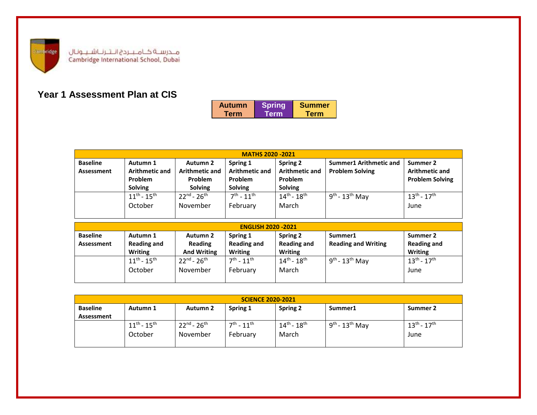

### **Year 1 Assessment Plan at CIS**

| <b>Autumn</b> | <b>Spring</b> | <b>Summer</b> |
|---------------|---------------|---------------|
| Term          | Term          | Term          |

| <b>MATHS 2020 -2021</b>       |                                                                |                                                                |                                                                       |                                                                |                                                         |                                                             |
|-------------------------------|----------------------------------------------------------------|----------------------------------------------------------------|-----------------------------------------------------------------------|----------------------------------------------------------------|---------------------------------------------------------|-------------------------------------------------------------|
| <b>Baseline</b><br>Assessment | Autumn 1<br><b>Arithmetic and</b><br>Problem<br><b>Solving</b> | Autumn 2<br><b>Arithmetic and</b><br>Problem<br><b>Solving</b> | Spring 1<br><b>Arithmetic and</b><br><b>Problem</b><br><b>Solving</b> | Spring 2<br><b>Arithmetic and</b><br>Problem<br><b>Solving</b> | <b>Summer1 Arithmetic and</b><br><b>Problem Solving</b> | Summer 2<br><b>Arithmetic and</b><br><b>Problem Solving</b> |
|                               | $11^{th} - 15^{th}$<br>October                                 | $22^{nd} - 26^{th}$<br>November                                | $7^{th}$ - 11 <sup>th</sup><br>February                               | $14^{th}$ - $18^{th}$<br>March                                 | $9th$ - 13 <sup>th</sup> May                            | $13^{th} - 17^{th}$<br>June                                 |

| <b>ENGLISH 2020 -2021</b>     |                                                  |                                           |                                                  |                                                  |                                       |                                                  |  |
|-------------------------------|--------------------------------------------------|-------------------------------------------|--------------------------------------------------|--------------------------------------------------|---------------------------------------|--------------------------------------------------|--|
| <b>Baseline</b><br>Assessment | Autumn 1<br><b>Reading and</b><br><b>Writing</b> | Autumn 2<br>Reading<br><b>And Writing</b> | Spring 1<br><b>Reading and</b><br><b>Writing</b> | Spring 2<br><b>Reading and</b><br><b>Writing</b> | Summer1<br><b>Reading and Writing</b> | Summer 2<br><b>Reading and</b><br><b>Writing</b> |  |
|                               | $11^{th} - 15^{th}$<br>October                   | $22^{nd} - 26^{th}$<br>November           | $7^{th}$ - $11^{th}$<br>February                 | $14^{th}$ - $18^{th}$<br>March                   | $9th$ - 13 <sup>th</sup> May          | $13^{th} - 17^{th}$<br>June                      |  |

| <b>SCIENCE 2020-2021</b> |                                     |                     |                             |                               |                  |                     |  |
|--------------------------|-------------------------------------|---------------------|-----------------------------|-------------------------------|------------------|---------------------|--|
| <b>Baseline</b>          | Autumn 1                            | <b>Autumn 2</b>     | Spring 1                    | <b>Spring 2</b>               | Summer1          | Summer 2            |  |
| Assessment               |                                     |                     |                             |                               |                  |                     |  |
|                          | $11^{\text{th}}$ - $15^{\text{th}}$ | $22^{nd} - 26^{th}$ | $7^{th}$ - 11 <sup>th</sup> | $14^{\sf th}$ - $18^{\sf th}$ | $9th - 13th$ May | $13^{th} - 17^{th}$ |  |
|                          | October                             | November            | February                    | March                         |                  | June                |  |
|                          |                                     |                     |                             |                               |                  |                     |  |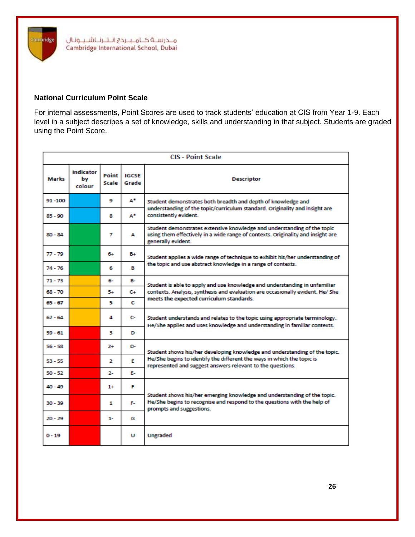

#### **National Curriculum Point Scale**

ambridge

For internal assessments, Point Scores are used to track students' education at CIS from Year 1-9. Each level in a subject describes a set of knowledge, skills and understanding in that subject. Students are graded using the Point Score.

| <b>CIS - Point Scale</b> |                                  |                |                       |                                                                                                                                                                                  |  |  |
|--------------------------|----------------------------------|----------------|-----------------------|----------------------------------------------------------------------------------------------------------------------------------------------------------------------------------|--|--|
| Marks                    | <b>Indicator</b><br>bv<br>colour | Point<br>Scale | <b>IGCSE</b><br>Grade | <b>Descriptor</b>                                                                                                                                                                |  |  |
| 91-100                   |                                  | ۰              | А.                    | Student demonstrates both breadth and depth of knowledge and<br>understanding of the topic/curriculum standard. Originality and insight are<br>consistently evident.             |  |  |
| 85 - 90                  |                                  | 8              | А.                    |                                                                                                                                                                                  |  |  |
| $80 - 84$                |                                  | 7              | А                     | Student demonstrates extensive knowledge and understanding of the topic<br>using them effectively in a wide range of contexts. Originality and insight are<br>generally evident. |  |  |
| 77 - 79                  |                                  | 6+             | B+                    | Student applies a wide range of technique to exhibit his/her understanding of                                                                                                    |  |  |
| $74 - 76$                |                                  | 6              | в                     | the topic and use abstract knowledge in a range of contexts.                                                                                                                     |  |  |
| 71 - 73                  |                                  | 6-             | в.                    | Student is able to apply and use knowledge and understanding in unfamiliar                                                                                                       |  |  |
| 68 - 70                  |                                  | 5+             | C+                    | contexts. Analysis, synthesis and evaluation are occasionally evident. He/ She<br>meets the expected curriculum standards.                                                       |  |  |
| $65 - 67$                |                                  | 5              | с                     |                                                                                                                                                                                  |  |  |
| $62 - 64$                |                                  | 4              | c.                    | Student understands and relates to the topic using appropriate terminology.<br>He/She applies and uses knowledge and understanding in familiar contexts.                         |  |  |
| $59 - 61$                |                                  | з              | D                     |                                                                                                                                                                                  |  |  |
| $56 - 58$                |                                  | $^{2+}$        | D-                    | Student shows his/her developing knowledge and understanding of the topic.                                                                                                       |  |  |
| $53 - 55$                |                                  | 2              | F                     | He/She begins to identify the different the ways in which the topic is<br>represented and suggest answers relevant to the questions.                                             |  |  |
| $50 - 52$                |                                  | 2-             | Е.                    |                                                                                                                                                                                  |  |  |
| 40 - 49                  |                                  | $1+$           | F                     |                                                                                                                                                                                  |  |  |
| 30 - 39                  |                                  | 1              | F.                    | Student shows his/her emerging knowledge and understanding of the topic.<br>He/She begins to recognise and respond to the questions with the help of<br>prompts and suggestions. |  |  |
| $20 - 29$                |                                  | 1-             | G                     |                                                                                                                                                                                  |  |  |
| $0 - 19$                 |                                  |                | υ                     | <b>Ungraded</b>                                                                                                                                                                  |  |  |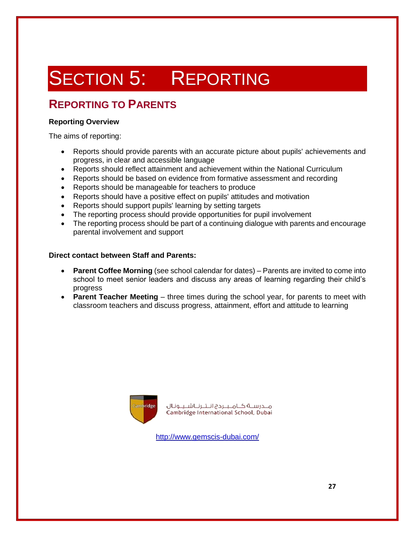## SECTION 5: REPORTING

### **REPORTING TO PARENTS**

#### **Reporting Overview**

The aims of reporting:

- Reports should provide parents with an accurate picture about pupils' achievements and progress, in clear and accessible language
- Reports should reflect attainment and achievement within the National Curriculum
- Reports should be based on evidence from formative assessment and recording
- Reports should be manageable for teachers to produce
- Reports should have a positive effect on pupils' attitudes and motivation
- Reports should support pupils' learning by setting targets
- The reporting process should provide opportunities for pupil involvement
- The reporting process should be part of a continuing dialogue with parents and encourage parental involvement and support

#### **Direct contact between Staff and Parents:**

- **Parent Coffee Morning** (see school calendar for dates) Parents are invited to come into school to meet senior leaders and discuss any areas of learning regarding their child's progress
- **Parent Teacher Meeting** three times during the school year, for parents to meet with classroom teachers and discuss progress, attainment, effort and attitude to learning



مــدرســة كــامــبــردج انــتــرنــاشــيــونـال Cambridge International School, Dubai

<http://www.gemscis-dubai.com/>